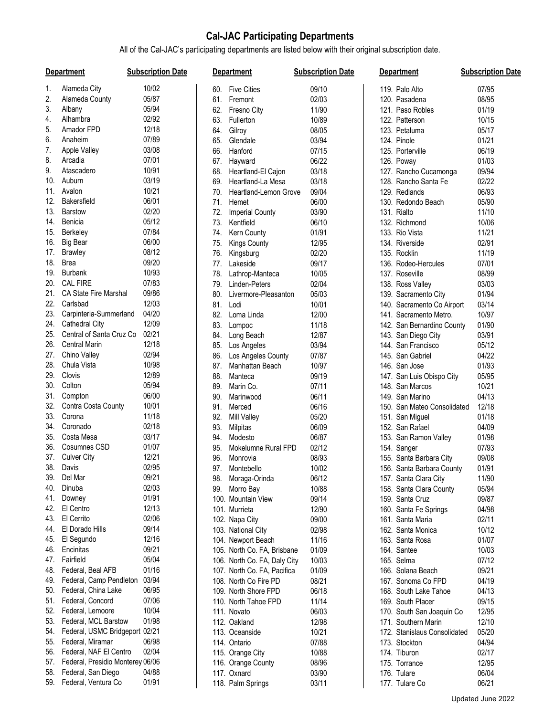## **Cal-JAC Participating Departments**

All of the Cal-JAC's participating departments are listed below with their original subscription date.

| 10/02<br>Alameda City<br><b>Five Cities</b><br>09/10<br>07/95<br>119. Palo Alto<br>60.<br>05/87<br>Alameda County<br>08/95<br>Fremont<br>02/03<br>120. Pasadena<br>61.<br>05/94<br>Albany<br>62.<br>Fresno City<br>11/90<br>121. Paso Robles<br>01/19<br>Alhambra<br>02/92<br>63.<br>Fullerton<br>10/89<br>122. Patterson<br>10/15<br>Amador FPD<br>12/18<br>Gilroy<br>08/05<br>123. Petaluma<br>05/17<br>64.<br>07/89<br>Anaheim<br>Glendale<br>03/94<br>124. Pinole<br>01/21<br>65.<br>03/08<br>Apple Valley<br>06/19<br>66.<br>Hanford<br>07/15<br>125. Porterville<br>07/01<br>Arcadia<br>Hayward<br>06/22<br>01/03<br>67.<br>126. Poway<br>10/91<br>Atascadero<br>03/18<br>68.<br>Heartland-El Cajon<br>127. Rancho Cucamonga<br>09/94<br>03/19<br>10.<br>Auburn<br>03/18<br>02/22<br>69.<br>Heartland-La Mesa<br>128. Rancho Santa Fe<br>10/21<br>Avalon<br>06/93<br>70.<br>Heartland-Lemon Grove<br>09/04<br>129. Redlands<br>06/01<br><b>Bakersfield</b><br>71.<br>06/00<br>05/90<br>Hemet<br>130. Redondo Beach<br>02/20<br><b>Barstow</b><br>72.<br><b>Imperial County</b><br>03/90<br>131. Rialto<br>11/10<br>Benicia<br>05/12<br>14.<br>10/06<br>73.<br>Kentfield<br>06/10<br>132. Richmond<br>07/84<br>Berkeley<br>15.<br>Kern County<br>01/91<br>133. Rio Vista<br>11/21<br>74.<br>06/00<br><b>Big Bear</b><br>02/91<br><b>Kings County</b><br>12/95<br>134. Riverside<br>75.<br>08/12<br><b>Brawley</b><br>02/20<br>135. Rocklin<br>11/19<br>76.<br>Kingsburg<br>09/20<br>18.<br><b>Brea</b><br>07/01<br>Lakeside<br>09/17<br>136. Rodeo-Hercules<br>77.<br>10/93<br>Burbank<br>08/99<br>78.<br>Lathrop-Manteca<br>10/05<br>137. Roseville<br><b>CAL FIRE</b><br>07/83<br>02/04<br>03/03<br>79.<br>Linden-Peters<br>138. Ross Valley<br>09/86<br>21.<br>CA State Fire Marshal<br>01/94<br>80.<br>Livermore-Pleasanton<br>05/03<br>139. Sacramento City<br>Carlsbad<br>12/03<br>03/14<br>81.<br>Lodi<br>10/01<br>140. Sacramento Co Airport<br>04/20<br>23.<br>Carpinteria-Summerland<br>12/00<br>10/97<br>82.<br>Loma Linda<br>141. Sacramento Metro.<br>12/09<br>24.<br><b>Cathedral City</b><br>01/90<br>83.<br>Lompoc<br>11/18<br>142. San Bernardino County<br>02/21<br>Central of Santa Cruz Co<br>03/91<br>25.<br>Long Beach<br>12/87<br>84.<br>143. San Diego City<br><b>Central Marin</b><br>12/18<br>26.<br>Los Angeles<br>03/94<br>144. San Francisco<br>05/12<br>85.<br>02/94<br>Chino Valley<br>27.<br>07/87<br>04/22<br>86.<br>Los Angeles County<br>145. San Gabriel<br>Chula Vista<br>10/98<br>28.<br>01/93<br>87.<br>Manhattan Beach<br>10/97<br>146. San Jose<br>Clovis<br>12/89<br>29.<br>09/19<br>05/95<br>88.<br>Manteca<br>147. San Luis Obispo City<br>30.<br>Colton<br>05/94<br>10/21<br>89.<br>Marin Co.<br>07/11<br>148. San Marcos<br>06/00<br>31.<br>Compton<br>04/13<br>90.<br>06/11<br>149. San Marino<br>Marinwood<br>10/01<br>32.<br>Contra Costa County<br>91.<br>06/16<br>12/18<br>Merced<br>150. San Mateo Consolidated<br>11/18<br>33.<br>Corona<br>05/20<br>01/18<br>92.<br>Mill Valley<br>151. San Miguel<br>02/18<br>34.<br>Coronado<br>93.<br>06/09<br>152. San Rafael<br>04/09<br>Milpitas<br>Costa Mesa<br>03/17<br>35.<br>01/98<br>Modesto<br>06/87<br>153. San Ramon Valley<br>94.<br>Cosumnes CSD<br>01/07<br>36.<br>07/93<br>95.<br>Mokelumne Rural FPD<br>02/12<br>154. Sanger<br>37. Culver City<br>12/21<br>09/08<br>96.<br>08/93<br>155. Santa Barbara City<br>Monrovia<br>02/95<br>38. Davis<br>97. Montebello<br>10/02<br>01/91<br>156. Santa Barbara County<br>09/21<br>39.<br>Del Mar<br>06/12<br>11/90<br>98. Moraga-Orinda<br>157. Santa Clara City<br>Dinuba<br>02/03<br>40.<br>Morro Bay<br>10/88<br>158. Santa Clara County<br>05/94<br>99.<br>01/91<br>Downey<br>41.<br>100. Mountain View<br>09/14<br>159. Santa Cruz<br>09/87<br>12/13<br>El Centro<br>101. Murrieta<br>12/90<br>160. Santa Fe Springs<br>04/98<br>El Cerrito<br>02/06<br>09/00<br>161. Santa Maria<br>02/11<br>102. Napa City<br>El Dorado Hills<br>09/14<br>44.<br>10/12<br>103. National City<br>02/98<br>162. Santa Monica<br>El Segundo<br>12/16<br>45.<br>01/07<br>104. Newport Beach<br>11/16<br>163. Santa Rosa<br>Encinitas<br>09/21<br>46.<br>10/03<br>105. North Co. FA, Brisbane<br>01/09<br>164. Santee<br>Fairfield<br>05/04<br>47.<br>165. Selma<br>07/12<br>106. North Co. FA, Daly City<br>10/03<br>01/16<br>Federal, Beal AFB<br>48.<br>107. North Co. FA, Pacifica<br>01/09<br>166. Solana Beach<br>09/21<br>03/94<br>49.<br>Federal, Camp Pendleton<br>08/21<br>108. North Co Fire PD<br>167. Sonoma Co FPD<br>04/19<br>Federal, China Lake<br>06/95<br>50.<br>109. North Shore FPD<br>06/18<br>168. South Lake Tahoe<br>04/13<br>07/06<br>51.<br>Federal, Concord<br>110. North Tahoe FPD<br>11/14<br>169. South Placer<br>09/15<br>10/04<br>Federal, Lemoore<br>06/03<br>170. South San Joaquin Co<br>12/95<br>111. Novato<br>01/98<br>Federal, MCL Barstow<br>53.<br>112. Oakland<br>12/98<br>171. Southern Marin<br>12/10<br>Federal, USMC Bridgeport 02/21<br>54.<br>113. Oceanside<br>10/21<br>172. Stanislaus Consolidated<br>05/20<br>06/98<br>Federal, Miramar<br>55.<br>114. Ontario<br>07/88<br>173. Stockton<br>04/94<br>02/04<br>56.<br>Federal, NAF El Centro<br>115. Orange City<br>10/88<br>174. Tiburon<br>02/17<br>Federal, Presidio Monterey 06/06<br>57.<br>116. Orange County<br>08/96<br>175. Torrance<br>12/95<br>Federal, San Diego<br>04/88<br>58.<br>117. Oxnard<br>03/90<br>176. Tulare<br>06/04<br>59. Federal, Ventura Co<br>118. Palm Springs<br>177. Tulare Co |     | <b>Department</b> | <b>Subscription Date</b> | <b>Department</b> | <b>Subscription Date</b> | <b>Department</b> | <b>Subscription Date</b> |
|---------------------------------------------------------------------------------------------------------------------------------------------------------------------------------------------------------------------------------------------------------------------------------------------------------------------------------------------------------------------------------------------------------------------------------------------------------------------------------------------------------------------------------------------------------------------------------------------------------------------------------------------------------------------------------------------------------------------------------------------------------------------------------------------------------------------------------------------------------------------------------------------------------------------------------------------------------------------------------------------------------------------------------------------------------------------------------------------------------------------------------------------------------------------------------------------------------------------------------------------------------------------------------------------------------------------------------------------------------------------------------------------------------------------------------------------------------------------------------------------------------------------------------------------------------------------------------------------------------------------------------------------------------------------------------------------------------------------------------------------------------------------------------------------------------------------------------------------------------------------------------------------------------------------------------------------------------------------------------------------------------------------------------------------------------------------------------------------------------------------------------------------------------------------------------------------------------------------------------------------------------------------------------------------------------------------------------------------------------------------------------------------------------------------------------------------------------------------------------------------------------------------------------------------------------------------------------------------------------------------------------------------------------------------------------------------------------------------------------------------------------------------------------------------------------------------------------------------------------------------------------------------------------------------------------------------------------------------------------------------------------------------------------------------------------------------------------------------------------------------------------------------------------------------------------------------------------------------------------------------------------------------------------------------------------------------------------------------------------------------------------------------------------------------------------------------------------------------------------------------------------------------------------------------------------------------------------------------------------------------------------------------------------------------------------------------------------------------------------------------------------------------------------------------------------------------------------------------------------------------------------------------------------------------------------------------------------------------------------------------------------------------------------------------------------------------------------------------------------------------------------------------------------------------------------------------------------------------------------------------------------------------------------------------------------------------------------------------------------------------------------------------------------------------------------------------------------------------------------------------------------------------------------------------------------------------------------------------------------------------------------------------------------------------------------------------------------------------------------------------------------------------------------------------------------------------------------------------------------------------------------------------------------------------------------------------------------------------------------------------------------------------------------------------------------------------------------------------------------------------------------------------------------------------------------------------------------------------------------------------------------------------------------------------------------------------------------------------------------------------------------------------------------------------------------------------------------------------------------------------------------------------------------------------------------------|-----|-------------------|--------------------------|-------------------|--------------------------|-------------------|--------------------------|
|                                                                                                                                                                                                                                                                                                                                                                                                                                                                                                                                                                                                                                                                                                                                                                                                                                                                                                                                                                                                                                                                                                                                                                                                                                                                                                                                                                                                                                                                                                                                                                                                                                                                                                                                                                                                                                                                                                                                                                                                                                                                                                                                                                                                                                                                                                                                                                                                                                                                                                                                                                                                                                                                                                                                                                                                                                                                                                                                                                                                                                                                                                                                                                                                                                                                                                                                                                                                                                                                                                                                                                                                                                                                                                                                                                                                                                                                                                                                                                                                                                                                                                                                                                                                                                                                                                                                                                                                                                                                                                                                                                                                                                                                                                                                                                                                                                                                                                                                                                                                                                                                                                                                                                                                                                                                                                                                                                                                                                                                                                                                                               | 1.  |                   |                          |                   |                          |                   |                          |
|                                                                                                                                                                                                                                                                                                                                                                                                                                                                                                                                                                                                                                                                                                                                                                                                                                                                                                                                                                                                                                                                                                                                                                                                                                                                                                                                                                                                                                                                                                                                                                                                                                                                                                                                                                                                                                                                                                                                                                                                                                                                                                                                                                                                                                                                                                                                                                                                                                                                                                                                                                                                                                                                                                                                                                                                                                                                                                                                                                                                                                                                                                                                                                                                                                                                                                                                                                                                                                                                                                                                                                                                                                                                                                                                                                                                                                                                                                                                                                                                                                                                                                                                                                                                                                                                                                                                                                                                                                                                                                                                                                                                                                                                                                                                                                                                                                                                                                                                                                                                                                                                                                                                                                                                                                                                                                                                                                                                                                                                                                                                                               | 2.  |                   |                          |                   |                          |                   |                          |
|                                                                                                                                                                                                                                                                                                                                                                                                                                                                                                                                                                                                                                                                                                                                                                                                                                                                                                                                                                                                                                                                                                                                                                                                                                                                                                                                                                                                                                                                                                                                                                                                                                                                                                                                                                                                                                                                                                                                                                                                                                                                                                                                                                                                                                                                                                                                                                                                                                                                                                                                                                                                                                                                                                                                                                                                                                                                                                                                                                                                                                                                                                                                                                                                                                                                                                                                                                                                                                                                                                                                                                                                                                                                                                                                                                                                                                                                                                                                                                                                                                                                                                                                                                                                                                                                                                                                                                                                                                                                                                                                                                                                                                                                                                                                                                                                                                                                                                                                                                                                                                                                                                                                                                                                                                                                                                                                                                                                                                                                                                                                                               | 3.  |                   |                          |                   |                          |                   |                          |
|                                                                                                                                                                                                                                                                                                                                                                                                                                                                                                                                                                                                                                                                                                                                                                                                                                                                                                                                                                                                                                                                                                                                                                                                                                                                                                                                                                                                                                                                                                                                                                                                                                                                                                                                                                                                                                                                                                                                                                                                                                                                                                                                                                                                                                                                                                                                                                                                                                                                                                                                                                                                                                                                                                                                                                                                                                                                                                                                                                                                                                                                                                                                                                                                                                                                                                                                                                                                                                                                                                                                                                                                                                                                                                                                                                                                                                                                                                                                                                                                                                                                                                                                                                                                                                                                                                                                                                                                                                                                                                                                                                                                                                                                                                                                                                                                                                                                                                                                                                                                                                                                                                                                                                                                                                                                                                                                                                                                                                                                                                                                                               | 4.  |                   |                          |                   |                          |                   |                          |
|                                                                                                                                                                                                                                                                                                                                                                                                                                                                                                                                                                                                                                                                                                                                                                                                                                                                                                                                                                                                                                                                                                                                                                                                                                                                                                                                                                                                                                                                                                                                                                                                                                                                                                                                                                                                                                                                                                                                                                                                                                                                                                                                                                                                                                                                                                                                                                                                                                                                                                                                                                                                                                                                                                                                                                                                                                                                                                                                                                                                                                                                                                                                                                                                                                                                                                                                                                                                                                                                                                                                                                                                                                                                                                                                                                                                                                                                                                                                                                                                                                                                                                                                                                                                                                                                                                                                                                                                                                                                                                                                                                                                                                                                                                                                                                                                                                                                                                                                                                                                                                                                                                                                                                                                                                                                                                                                                                                                                                                                                                                                                               | 5.  |                   |                          |                   |                          |                   |                          |
|                                                                                                                                                                                                                                                                                                                                                                                                                                                                                                                                                                                                                                                                                                                                                                                                                                                                                                                                                                                                                                                                                                                                                                                                                                                                                                                                                                                                                                                                                                                                                                                                                                                                                                                                                                                                                                                                                                                                                                                                                                                                                                                                                                                                                                                                                                                                                                                                                                                                                                                                                                                                                                                                                                                                                                                                                                                                                                                                                                                                                                                                                                                                                                                                                                                                                                                                                                                                                                                                                                                                                                                                                                                                                                                                                                                                                                                                                                                                                                                                                                                                                                                                                                                                                                                                                                                                                                                                                                                                                                                                                                                                                                                                                                                                                                                                                                                                                                                                                                                                                                                                                                                                                                                                                                                                                                                                                                                                                                                                                                                                                               | 6.  |                   |                          |                   |                          |                   |                          |
|                                                                                                                                                                                                                                                                                                                                                                                                                                                                                                                                                                                                                                                                                                                                                                                                                                                                                                                                                                                                                                                                                                                                                                                                                                                                                                                                                                                                                                                                                                                                                                                                                                                                                                                                                                                                                                                                                                                                                                                                                                                                                                                                                                                                                                                                                                                                                                                                                                                                                                                                                                                                                                                                                                                                                                                                                                                                                                                                                                                                                                                                                                                                                                                                                                                                                                                                                                                                                                                                                                                                                                                                                                                                                                                                                                                                                                                                                                                                                                                                                                                                                                                                                                                                                                                                                                                                                                                                                                                                                                                                                                                                                                                                                                                                                                                                                                                                                                                                                                                                                                                                                                                                                                                                                                                                                                                                                                                                                                                                                                                                                               | 7.  |                   |                          |                   |                          |                   |                          |
|                                                                                                                                                                                                                                                                                                                                                                                                                                                                                                                                                                                                                                                                                                                                                                                                                                                                                                                                                                                                                                                                                                                                                                                                                                                                                                                                                                                                                                                                                                                                                                                                                                                                                                                                                                                                                                                                                                                                                                                                                                                                                                                                                                                                                                                                                                                                                                                                                                                                                                                                                                                                                                                                                                                                                                                                                                                                                                                                                                                                                                                                                                                                                                                                                                                                                                                                                                                                                                                                                                                                                                                                                                                                                                                                                                                                                                                                                                                                                                                                                                                                                                                                                                                                                                                                                                                                                                                                                                                                                                                                                                                                                                                                                                                                                                                                                                                                                                                                                                                                                                                                                                                                                                                                                                                                                                                                                                                                                                                                                                                                                               | 8.  |                   |                          |                   |                          |                   |                          |
|                                                                                                                                                                                                                                                                                                                                                                                                                                                                                                                                                                                                                                                                                                                                                                                                                                                                                                                                                                                                                                                                                                                                                                                                                                                                                                                                                                                                                                                                                                                                                                                                                                                                                                                                                                                                                                                                                                                                                                                                                                                                                                                                                                                                                                                                                                                                                                                                                                                                                                                                                                                                                                                                                                                                                                                                                                                                                                                                                                                                                                                                                                                                                                                                                                                                                                                                                                                                                                                                                                                                                                                                                                                                                                                                                                                                                                                                                                                                                                                                                                                                                                                                                                                                                                                                                                                                                                                                                                                                                                                                                                                                                                                                                                                                                                                                                                                                                                                                                                                                                                                                                                                                                                                                                                                                                                                                                                                                                                                                                                                                                               | 9.  |                   |                          |                   |                          |                   |                          |
|                                                                                                                                                                                                                                                                                                                                                                                                                                                                                                                                                                                                                                                                                                                                                                                                                                                                                                                                                                                                                                                                                                                                                                                                                                                                                                                                                                                                                                                                                                                                                                                                                                                                                                                                                                                                                                                                                                                                                                                                                                                                                                                                                                                                                                                                                                                                                                                                                                                                                                                                                                                                                                                                                                                                                                                                                                                                                                                                                                                                                                                                                                                                                                                                                                                                                                                                                                                                                                                                                                                                                                                                                                                                                                                                                                                                                                                                                                                                                                                                                                                                                                                                                                                                                                                                                                                                                                                                                                                                                                                                                                                                                                                                                                                                                                                                                                                                                                                                                                                                                                                                                                                                                                                                                                                                                                                                                                                                                                                                                                                                                               |     |                   |                          |                   |                          |                   |                          |
|                                                                                                                                                                                                                                                                                                                                                                                                                                                                                                                                                                                                                                                                                                                                                                                                                                                                                                                                                                                                                                                                                                                                                                                                                                                                                                                                                                                                                                                                                                                                                                                                                                                                                                                                                                                                                                                                                                                                                                                                                                                                                                                                                                                                                                                                                                                                                                                                                                                                                                                                                                                                                                                                                                                                                                                                                                                                                                                                                                                                                                                                                                                                                                                                                                                                                                                                                                                                                                                                                                                                                                                                                                                                                                                                                                                                                                                                                                                                                                                                                                                                                                                                                                                                                                                                                                                                                                                                                                                                                                                                                                                                                                                                                                                                                                                                                                                                                                                                                                                                                                                                                                                                                                                                                                                                                                                                                                                                                                                                                                                                                               | 11. |                   |                          |                   |                          |                   |                          |
|                                                                                                                                                                                                                                                                                                                                                                                                                                                                                                                                                                                                                                                                                                                                                                                                                                                                                                                                                                                                                                                                                                                                                                                                                                                                                                                                                                                                                                                                                                                                                                                                                                                                                                                                                                                                                                                                                                                                                                                                                                                                                                                                                                                                                                                                                                                                                                                                                                                                                                                                                                                                                                                                                                                                                                                                                                                                                                                                                                                                                                                                                                                                                                                                                                                                                                                                                                                                                                                                                                                                                                                                                                                                                                                                                                                                                                                                                                                                                                                                                                                                                                                                                                                                                                                                                                                                                                                                                                                                                                                                                                                                                                                                                                                                                                                                                                                                                                                                                                                                                                                                                                                                                                                                                                                                                                                                                                                                                                                                                                                                                               | 12. |                   |                          |                   |                          |                   |                          |
|                                                                                                                                                                                                                                                                                                                                                                                                                                                                                                                                                                                                                                                                                                                                                                                                                                                                                                                                                                                                                                                                                                                                                                                                                                                                                                                                                                                                                                                                                                                                                                                                                                                                                                                                                                                                                                                                                                                                                                                                                                                                                                                                                                                                                                                                                                                                                                                                                                                                                                                                                                                                                                                                                                                                                                                                                                                                                                                                                                                                                                                                                                                                                                                                                                                                                                                                                                                                                                                                                                                                                                                                                                                                                                                                                                                                                                                                                                                                                                                                                                                                                                                                                                                                                                                                                                                                                                                                                                                                                                                                                                                                                                                                                                                                                                                                                                                                                                                                                                                                                                                                                                                                                                                                                                                                                                                                                                                                                                                                                                                                                               | 13. |                   |                          |                   |                          |                   |                          |
|                                                                                                                                                                                                                                                                                                                                                                                                                                                                                                                                                                                                                                                                                                                                                                                                                                                                                                                                                                                                                                                                                                                                                                                                                                                                                                                                                                                                                                                                                                                                                                                                                                                                                                                                                                                                                                                                                                                                                                                                                                                                                                                                                                                                                                                                                                                                                                                                                                                                                                                                                                                                                                                                                                                                                                                                                                                                                                                                                                                                                                                                                                                                                                                                                                                                                                                                                                                                                                                                                                                                                                                                                                                                                                                                                                                                                                                                                                                                                                                                                                                                                                                                                                                                                                                                                                                                                                                                                                                                                                                                                                                                                                                                                                                                                                                                                                                                                                                                                                                                                                                                                                                                                                                                                                                                                                                                                                                                                                                                                                                                                               |     |                   |                          |                   |                          |                   |                          |
|                                                                                                                                                                                                                                                                                                                                                                                                                                                                                                                                                                                                                                                                                                                                                                                                                                                                                                                                                                                                                                                                                                                                                                                                                                                                                                                                                                                                                                                                                                                                                                                                                                                                                                                                                                                                                                                                                                                                                                                                                                                                                                                                                                                                                                                                                                                                                                                                                                                                                                                                                                                                                                                                                                                                                                                                                                                                                                                                                                                                                                                                                                                                                                                                                                                                                                                                                                                                                                                                                                                                                                                                                                                                                                                                                                                                                                                                                                                                                                                                                                                                                                                                                                                                                                                                                                                                                                                                                                                                                                                                                                                                                                                                                                                                                                                                                                                                                                                                                                                                                                                                                                                                                                                                                                                                                                                                                                                                                                                                                                                                                               |     |                   |                          |                   |                          |                   |                          |
|                                                                                                                                                                                                                                                                                                                                                                                                                                                                                                                                                                                                                                                                                                                                                                                                                                                                                                                                                                                                                                                                                                                                                                                                                                                                                                                                                                                                                                                                                                                                                                                                                                                                                                                                                                                                                                                                                                                                                                                                                                                                                                                                                                                                                                                                                                                                                                                                                                                                                                                                                                                                                                                                                                                                                                                                                                                                                                                                                                                                                                                                                                                                                                                                                                                                                                                                                                                                                                                                                                                                                                                                                                                                                                                                                                                                                                                                                                                                                                                                                                                                                                                                                                                                                                                                                                                                                                                                                                                                                                                                                                                                                                                                                                                                                                                                                                                                                                                                                                                                                                                                                                                                                                                                                                                                                                                                                                                                                                                                                                                                                               | 16. |                   |                          |                   |                          |                   |                          |
|                                                                                                                                                                                                                                                                                                                                                                                                                                                                                                                                                                                                                                                                                                                                                                                                                                                                                                                                                                                                                                                                                                                                                                                                                                                                                                                                                                                                                                                                                                                                                                                                                                                                                                                                                                                                                                                                                                                                                                                                                                                                                                                                                                                                                                                                                                                                                                                                                                                                                                                                                                                                                                                                                                                                                                                                                                                                                                                                                                                                                                                                                                                                                                                                                                                                                                                                                                                                                                                                                                                                                                                                                                                                                                                                                                                                                                                                                                                                                                                                                                                                                                                                                                                                                                                                                                                                                                                                                                                                                                                                                                                                                                                                                                                                                                                                                                                                                                                                                                                                                                                                                                                                                                                                                                                                                                                                                                                                                                                                                                                                                               | 17. |                   |                          |                   |                          |                   |                          |
|                                                                                                                                                                                                                                                                                                                                                                                                                                                                                                                                                                                                                                                                                                                                                                                                                                                                                                                                                                                                                                                                                                                                                                                                                                                                                                                                                                                                                                                                                                                                                                                                                                                                                                                                                                                                                                                                                                                                                                                                                                                                                                                                                                                                                                                                                                                                                                                                                                                                                                                                                                                                                                                                                                                                                                                                                                                                                                                                                                                                                                                                                                                                                                                                                                                                                                                                                                                                                                                                                                                                                                                                                                                                                                                                                                                                                                                                                                                                                                                                                                                                                                                                                                                                                                                                                                                                                                                                                                                                                                                                                                                                                                                                                                                                                                                                                                                                                                                                                                                                                                                                                                                                                                                                                                                                                                                                                                                                                                                                                                                                                               |     |                   |                          |                   |                          |                   |                          |
|                                                                                                                                                                                                                                                                                                                                                                                                                                                                                                                                                                                                                                                                                                                                                                                                                                                                                                                                                                                                                                                                                                                                                                                                                                                                                                                                                                                                                                                                                                                                                                                                                                                                                                                                                                                                                                                                                                                                                                                                                                                                                                                                                                                                                                                                                                                                                                                                                                                                                                                                                                                                                                                                                                                                                                                                                                                                                                                                                                                                                                                                                                                                                                                                                                                                                                                                                                                                                                                                                                                                                                                                                                                                                                                                                                                                                                                                                                                                                                                                                                                                                                                                                                                                                                                                                                                                                                                                                                                                                                                                                                                                                                                                                                                                                                                                                                                                                                                                                                                                                                                                                                                                                                                                                                                                                                                                                                                                                                                                                                                                                               | 19. |                   |                          |                   |                          |                   |                          |
|                                                                                                                                                                                                                                                                                                                                                                                                                                                                                                                                                                                                                                                                                                                                                                                                                                                                                                                                                                                                                                                                                                                                                                                                                                                                                                                                                                                                                                                                                                                                                                                                                                                                                                                                                                                                                                                                                                                                                                                                                                                                                                                                                                                                                                                                                                                                                                                                                                                                                                                                                                                                                                                                                                                                                                                                                                                                                                                                                                                                                                                                                                                                                                                                                                                                                                                                                                                                                                                                                                                                                                                                                                                                                                                                                                                                                                                                                                                                                                                                                                                                                                                                                                                                                                                                                                                                                                                                                                                                                                                                                                                                                                                                                                                                                                                                                                                                                                                                                                                                                                                                                                                                                                                                                                                                                                                                                                                                                                                                                                                                                               | 20. |                   |                          |                   |                          |                   |                          |
|                                                                                                                                                                                                                                                                                                                                                                                                                                                                                                                                                                                                                                                                                                                                                                                                                                                                                                                                                                                                                                                                                                                                                                                                                                                                                                                                                                                                                                                                                                                                                                                                                                                                                                                                                                                                                                                                                                                                                                                                                                                                                                                                                                                                                                                                                                                                                                                                                                                                                                                                                                                                                                                                                                                                                                                                                                                                                                                                                                                                                                                                                                                                                                                                                                                                                                                                                                                                                                                                                                                                                                                                                                                                                                                                                                                                                                                                                                                                                                                                                                                                                                                                                                                                                                                                                                                                                                                                                                                                                                                                                                                                                                                                                                                                                                                                                                                                                                                                                                                                                                                                                                                                                                                                                                                                                                                                                                                                                                                                                                                                                               |     |                   |                          |                   |                          |                   |                          |
|                                                                                                                                                                                                                                                                                                                                                                                                                                                                                                                                                                                                                                                                                                                                                                                                                                                                                                                                                                                                                                                                                                                                                                                                                                                                                                                                                                                                                                                                                                                                                                                                                                                                                                                                                                                                                                                                                                                                                                                                                                                                                                                                                                                                                                                                                                                                                                                                                                                                                                                                                                                                                                                                                                                                                                                                                                                                                                                                                                                                                                                                                                                                                                                                                                                                                                                                                                                                                                                                                                                                                                                                                                                                                                                                                                                                                                                                                                                                                                                                                                                                                                                                                                                                                                                                                                                                                                                                                                                                                                                                                                                                                                                                                                                                                                                                                                                                                                                                                                                                                                                                                                                                                                                                                                                                                                                                                                                                                                                                                                                                                               | 22. |                   |                          |                   |                          |                   |                          |
|                                                                                                                                                                                                                                                                                                                                                                                                                                                                                                                                                                                                                                                                                                                                                                                                                                                                                                                                                                                                                                                                                                                                                                                                                                                                                                                                                                                                                                                                                                                                                                                                                                                                                                                                                                                                                                                                                                                                                                                                                                                                                                                                                                                                                                                                                                                                                                                                                                                                                                                                                                                                                                                                                                                                                                                                                                                                                                                                                                                                                                                                                                                                                                                                                                                                                                                                                                                                                                                                                                                                                                                                                                                                                                                                                                                                                                                                                                                                                                                                                                                                                                                                                                                                                                                                                                                                                                                                                                                                                                                                                                                                                                                                                                                                                                                                                                                                                                                                                                                                                                                                                                                                                                                                                                                                                                                                                                                                                                                                                                                                                               |     |                   |                          |                   |                          |                   |                          |
|                                                                                                                                                                                                                                                                                                                                                                                                                                                                                                                                                                                                                                                                                                                                                                                                                                                                                                                                                                                                                                                                                                                                                                                                                                                                                                                                                                                                                                                                                                                                                                                                                                                                                                                                                                                                                                                                                                                                                                                                                                                                                                                                                                                                                                                                                                                                                                                                                                                                                                                                                                                                                                                                                                                                                                                                                                                                                                                                                                                                                                                                                                                                                                                                                                                                                                                                                                                                                                                                                                                                                                                                                                                                                                                                                                                                                                                                                                                                                                                                                                                                                                                                                                                                                                                                                                                                                                                                                                                                                                                                                                                                                                                                                                                                                                                                                                                                                                                                                                                                                                                                                                                                                                                                                                                                                                                                                                                                                                                                                                                                                               |     |                   |                          |                   |                          |                   |                          |
|                                                                                                                                                                                                                                                                                                                                                                                                                                                                                                                                                                                                                                                                                                                                                                                                                                                                                                                                                                                                                                                                                                                                                                                                                                                                                                                                                                                                                                                                                                                                                                                                                                                                                                                                                                                                                                                                                                                                                                                                                                                                                                                                                                                                                                                                                                                                                                                                                                                                                                                                                                                                                                                                                                                                                                                                                                                                                                                                                                                                                                                                                                                                                                                                                                                                                                                                                                                                                                                                                                                                                                                                                                                                                                                                                                                                                                                                                                                                                                                                                                                                                                                                                                                                                                                                                                                                                                                                                                                                                                                                                                                                                                                                                                                                                                                                                                                                                                                                                                                                                                                                                                                                                                                                                                                                                                                                                                                                                                                                                                                                                               |     |                   |                          |                   |                          |                   |                          |
|                                                                                                                                                                                                                                                                                                                                                                                                                                                                                                                                                                                                                                                                                                                                                                                                                                                                                                                                                                                                                                                                                                                                                                                                                                                                                                                                                                                                                                                                                                                                                                                                                                                                                                                                                                                                                                                                                                                                                                                                                                                                                                                                                                                                                                                                                                                                                                                                                                                                                                                                                                                                                                                                                                                                                                                                                                                                                                                                                                                                                                                                                                                                                                                                                                                                                                                                                                                                                                                                                                                                                                                                                                                                                                                                                                                                                                                                                                                                                                                                                                                                                                                                                                                                                                                                                                                                                                                                                                                                                                                                                                                                                                                                                                                                                                                                                                                                                                                                                                                                                                                                                                                                                                                                                                                                                                                                                                                                                                                                                                                                                               |     |                   |                          |                   |                          |                   |                          |
|                                                                                                                                                                                                                                                                                                                                                                                                                                                                                                                                                                                                                                                                                                                                                                                                                                                                                                                                                                                                                                                                                                                                                                                                                                                                                                                                                                                                                                                                                                                                                                                                                                                                                                                                                                                                                                                                                                                                                                                                                                                                                                                                                                                                                                                                                                                                                                                                                                                                                                                                                                                                                                                                                                                                                                                                                                                                                                                                                                                                                                                                                                                                                                                                                                                                                                                                                                                                                                                                                                                                                                                                                                                                                                                                                                                                                                                                                                                                                                                                                                                                                                                                                                                                                                                                                                                                                                                                                                                                                                                                                                                                                                                                                                                                                                                                                                                                                                                                                                                                                                                                                                                                                                                                                                                                                                                                                                                                                                                                                                                                                               |     |                   |                          |                   |                          |                   |                          |
|                                                                                                                                                                                                                                                                                                                                                                                                                                                                                                                                                                                                                                                                                                                                                                                                                                                                                                                                                                                                                                                                                                                                                                                                                                                                                                                                                                                                                                                                                                                                                                                                                                                                                                                                                                                                                                                                                                                                                                                                                                                                                                                                                                                                                                                                                                                                                                                                                                                                                                                                                                                                                                                                                                                                                                                                                                                                                                                                                                                                                                                                                                                                                                                                                                                                                                                                                                                                                                                                                                                                                                                                                                                                                                                                                                                                                                                                                                                                                                                                                                                                                                                                                                                                                                                                                                                                                                                                                                                                                                                                                                                                                                                                                                                                                                                                                                                                                                                                                                                                                                                                                                                                                                                                                                                                                                                                                                                                                                                                                                                                                               |     |                   |                          |                   |                          |                   |                          |
|                                                                                                                                                                                                                                                                                                                                                                                                                                                                                                                                                                                                                                                                                                                                                                                                                                                                                                                                                                                                                                                                                                                                                                                                                                                                                                                                                                                                                                                                                                                                                                                                                                                                                                                                                                                                                                                                                                                                                                                                                                                                                                                                                                                                                                                                                                                                                                                                                                                                                                                                                                                                                                                                                                                                                                                                                                                                                                                                                                                                                                                                                                                                                                                                                                                                                                                                                                                                                                                                                                                                                                                                                                                                                                                                                                                                                                                                                                                                                                                                                                                                                                                                                                                                                                                                                                                                                                                                                                                                                                                                                                                                                                                                                                                                                                                                                                                                                                                                                                                                                                                                                                                                                                                                                                                                                                                                                                                                                                                                                                                                                               |     |                   |                          |                   |                          |                   |                          |
|                                                                                                                                                                                                                                                                                                                                                                                                                                                                                                                                                                                                                                                                                                                                                                                                                                                                                                                                                                                                                                                                                                                                                                                                                                                                                                                                                                                                                                                                                                                                                                                                                                                                                                                                                                                                                                                                                                                                                                                                                                                                                                                                                                                                                                                                                                                                                                                                                                                                                                                                                                                                                                                                                                                                                                                                                                                                                                                                                                                                                                                                                                                                                                                                                                                                                                                                                                                                                                                                                                                                                                                                                                                                                                                                                                                                                                                                                                                                                                                                                                                                                                                                                                                                                                                                                                                                                                                                                                                                                                                                                                                                                                                                                                                                                                                                                                                                                                                                                                                                                                                                                                                                                                                                                                                                                                                                                                                                                                                                                                                                                               |     |                   |                          |                   |                          |                   |                          |
|                                                                                                                                                                                                                                                                                                                                                                                                                                                                                                                                                                                                                                                                                                                                                                                                                                                                                                                                                                                                                                                                                                                                                                                                                                                                                                                                                                                                                                                                                                                                                                                                                                                                                                                                                                                                                                                                                                                                                                                                                                                                                                                                                                                                                                                                                                                                                                                                                                                                                                                                                                                                                                                                                                                                                                                                                                                                                                                                                                                                                                                                                                                                                                                                                                                                                                                                                                                                                                                                                                                                                                                                                                                                                                                                                                                                                                                                                                                                                                                                                                                                                                                                                                                                                                                                                                                                                                                                                                                                                                                                                                                                                                                                                                                                                                                                                                                                                                                                                                                                                                                                                                                                                                                                                                                                                                                                                                                                                                                                                                                                                               |     |                   |                          |                   |                          |                   |                          |
|                                                                                                                                                                                                                                                                                                                                                                                                                                                                                                                                                                                                                                                                                                                                                                                                                                                                                                                                                                                                                                                                                                                                                                                                                                                                                                                                                                                                                                                                                                                                                                                                                                                                                                                                                                                                                                                                                                                                                                                                                                                                                                                                                                                                                                                                                                                                                                                                                                                                                                                                                                                                                                                                                                                                                                                                                                                                                                                                                                                                                                                                                                                                                                                                                                                                                                                                                                                                                                                                                                                                                                                                                                                                                                                                                                                                                                                                                                                                                                                                                                                                                                                                                                                                                                                                                                                                                                                                                                                                                                                                                                                                                                                                                                                                                                                                                                                                                                                                                                                                                                                                                                                                                                                                                                                                                                                                                                                                                                                                                                                                                               |     |                   |                          |                   |                          |                   |                          |
|                                                                                                                                                                                                                                                                                                                                                                                                                                                                                                                                                                                                                                                                                                                                                                                                                                                                                                                                                                                                                                                                                                                                                                                                                                                                                                                                                                                                                                                                                                                                                                                                                                                                                                                                                                                                                                                                                                                                                                                                                                                                                                                                                                                                                                                                                                                                                                                                                                                                                                                                                                                                                                                                                                                                                                                                                                                                                                                                                                                                                                                                                                                                                                                                                                                                                                                                                                                                                                                                                                                                                                                                                                                                                                                                                                                                                                                                                                                                                                                                                                                                                                                                                                                                                                                                                                                                                                                                                                                                                                                                                                                                                                                                                                                                                                                                                                                                                                                                                                                                                                                                                                                                                                                                                                                                                                                                                                                                                                                                                                                                                               |     |                   |                          |                   |                          |                   |                          |
|                                                                                                                                                                                                                                                                                                                                                                                                                                                                                                                                                                                                                                                                                                                                                                                                                                                                                                                                                                                                                                                                                                                                                                                                                                                                                                                                                                                                                                                                                                                                                                                                                                                                                                                                                                                                                                                                                                                                                                                                                                                                                                                                                                                                                                                                                                                                                                                                                                                                                                                                                                                                                                                                                                                                                                                                                                                                                                                                                                                                                                                                                                                                                                                                                                                                                                                                                                                                                                                                                                                                                                                                                                                                                                                                                                                                                                                                                                                                                                                                                                                                                                                                                                                                                                                                                                                                                                                                                                                                                                                                                                                                                                                                                                                                                                                                                                                                                                                                                                                                                                                                                                                                                                                                                                                                                                                                                                                                                                                                                                                                                               |     |                   |                          |                   |                          |                   |                          |
|                                                                                                                                                                                                                                                                                                                                                                                                                                                                                                                                                                                                                                                                                                                                                                                                                                                                                                                                                                                                                                                                                                                                                                                                                                                                                                                                                                                                                                                                                                                                                                                                                                                                                                                                                                                                                                                                                                                                                                                                                                                                                                                                                                                                                                                                                                                                                                                                                                                                                                                                                                                                                                                                                                                                                                                                                                                                                                                                                                                                                                                                                                                                                                                                                                                                                                                                                                                                                                                                                                                                                                                                                                                                                                                                                                                                                                                                                                                                                                                                                                                                                                                                                                                                                                                                                                                                                                                                                                                                                                                                                                                                                                                                                                                                                                                                                                                                                                                                                                                                                                                                                                                                                                                                                                                                                                                                                                                                                                                                                                                                                               |     |                   |                          |                   |                          |                   |                          |
|                                                                                                                                                                                                                                                                                                                                                                                                                                                                                                                                                                                                                                                                                                                                                                                                                                                                                                                                                                                                                                                                                                                                                                                                                                                                                                                                                                                                                                                                                                                                                                                                                                                                                                                                                                                                                                                                                                                                                                                                                                                                                                                                                                                                                                                                                                                                                                                                                                                                                                                                                                                                                                                                                                                                                                                                                                                                                                                                                                                                                                                                                                                                                                                                                                                                                                                                                                                                                                                                                                                                                                                                                                                                                                                                                                                                                                                                                                                                                                                                                                                                                                                                                                                                                                                                                                                                                                                                                                                                                                                                                                                                                                                                                                                                                                                                                                                                                                                                                                                                                                                                                                                                                                                                                                                                                                                                                                                                                                                                                                                                                               |     |                   |                          |                   |                          |                   |                          |
|                                                                                                                                                                                                                                                                                                                                                                                                                                                                                                                                                                                                                                                                                                                                                                                                                                                                                                                                                                                                                                                                                                                                                                                                                                                                                                                                                                                                                                                                                                                                                                                                                                                                                                                                                                                                                                                                                                                                                                                                                                                                                                                                                                                                                                                                                                                                                                                                                                                                                                                                                                                                                                                                                                                                                                                                                                                                                                                                                                                                                                                                                                                                                                                                                                                                                                                                                                                                                                                                                                                                                                                                                                                                                                                                                                                                                                                                                                                                                                                                                                                                                                                                                                                                                                                                                                                                                                                                                                                                                                                                                                                                                                                                                                                                                                                                                                                                                                                                                                                                                                                                                                                                                                                                                                                                                                                                                                                                                                                                                                                                                               |     |                   |                          |                   |                          |                   |                          |
|                                                                                                                                                                                                                                                                                                                                                                                                                                                                                                                                                                                                                                                                                                                                                                                                                                                                                                                                                                                                                                                                                                                                                                                                                                                                                                                                                                                                                                                                                                                                                                                                                                                                                                                                                                                                                                                                                                                                                                                                                                                                                                                                                                                                                                                                                                                                                                                                                                                                                                                                                                                                                                                                                                                                                                                                                                                                                                                                                                                                                                                                                                                                                                                                                                                                                                                                                                                                                                                                                                                                                                                                                                                                                                                                                                                                                                                                                                                                                                                                                                                                                                                                                                                                                                                                                                                                                                                                                                                                                                                                                                                                                                                                                                                                                                                                                                                                                                                                                                                                                                                                                                                                                                                                                                                                                                                                                                                                                                                                                                                                                               |     |                   |                          |                   |                          |                   |                          |
|                                                                                                                                                                                                                                                                                                                                                                                                                                                                                                                                                                                                                                                                                                                                                                                                                                                                                                                                                                                                                                                                                                                                                                                                                                                                                                                                                                                                                                                                                                                                                                                                                                                                                                                                                                                                                                                                                                                                                                                                                                                                                                                                                                                                                                                                                                                                                                                                                                                                                                                                                                                                                                                                                                                                                                                                                                                                                                                                                                                                                                                                                                                                                                                                                                                                                                                                                                                                                                                                                                                                                                                                                                                                                                                                                                                                                                                                                                                                                                                                                                                                                                                                                                                                                                                                                                                                                                                                                                                                                                                                                                                                                                                                                                                                                                                                                                                                                                                                                                                                                                                                                                                                                                                                                                                                                                                                                                                                                                                                                                                                                               |     |                   |                          |                   |                          |                   |                          |
|                                                                                                                                                                                                                                                                                                                                                                                                                                                                                                                                                                                                                                                                                                                                                                                                                                                                                                                                                                                                                                                                                                                                                                                                                                                                                                                                                                                                                                                                                                                                                                                                                                                                                                                                                                                                                                                                                                                                                                                                                                                                                                                                                                                                                                                                                                                                                                                                                                                                                                                                                                                                                                                                                                                                                                                                                                                                                                                                                                                                                                                                                                                                                                                                                                                                                                                                                                                                                                                                                                                                                                                                                                                                                                                                                                                                                                                                                                                                                                                                                                                                                                                                                                                                                                                                                                                                                                                                                                                                                                                                                                                                                                                                                                                                                                                                                                                                                                                                                                                                                                                                                                                                                                                                                                                                                                                                                                                                                                                                                                                                                               |     |                   |                          |                   |                          |                   |                          |
|                                                                                                                                                                                                                                                                                                                                                                                                                                                                                                                                                                                                                                                                                                                                                                                                                                                                                                                                                                                                                                                                                                                                                                                                                                                                                                                                                                                                                                                                                                                                                                                                                                                                                                                                                                                                                                                                                                                                                                                                                                                                                                                                                                                                                                                                                                                                                                                                                                                                                                                                                                                                                                                                                                                                                                                                                                                                                                                                                                                                                                                                                                                                                                                                                                                                                                                                                                                                                                                                                                                                                                                                                                                                                                                                                                                                                                                                                                                                                                                                                                                                                                                                                                                                                                                                                                                                                                                                                                                                                                                                                                                                                                                                                                                                                                                                                                                                                                                                                                                                                                                                                                                                                                                                                                                                                                                                                                                                                                                                                                                                                               |     |                   |                          |                   |                          |                   |                          |
|                                                                                                                                                                                                                                                                                                                                                                                                                                                                                                                                                                                                                                                                                                                                                                                                                                                                                                                                                                                                                                                                                                                                                                                                                                                                                                                                                                                                                                                                                                                                                                                                                                                                                                                                                                                                                                                                                                                                                                                                                                                                                                                                                                                                                                                                                                                                                                                                                                                                                                                                                                                                                                                                                                                                                                                                                                                                                                                                                                                                                                                                                                                                                                                                                                                                                                                                                                                                                                                                                                                                                                                                                                                                                                                                                                                                                                                                                                                                                                                                                                                                                                                                                                                                                                                                                                                                                                                                                                                                                                                                                                                                                                                                                                                                                                                                                                                                                                                                                                                                                                                                                                                                                                                                                                                                                                                                                                                                                                                                                                                                                               | 42. |                   |                          |                   |                          |                   |                          |
|                                                                                                                                                                                                                                                                                                                                                                                                                                                                                                                                                                                                                                                                                                                                                                                                                                                                                                                                                                                                                                                                                                                                                                                                                                                                                                                                                                                                                                                                                                                                                                                                                                                                                                                                                                                                                                                                                                                                                                                                                                                                                                                                                                                                                                                                                                                                                                                                                                                                                                                                                                                                                                                                                                                                                                                                                                                                                                                                                                                                                                                                                                                                                                                                                                                                                                                                                                                                                                                                                                                                                                                                                                                                                                                                                                                                                                                                                                                                                                                                                                                                                                                                                                                                                                                                                                                                                                                                                                                                                                                                                                                                                                                                                                                                                                                                                                                                                                                                                                                                                                                                                                                                                                                                                                                                                                                                                                                                                                                                                                                                                               | 43. |                   |                          |                   |                          |                   |                          |
|                                                                                                                                                                                                                                                                                                                                                                                                                                                                                                                                                                                                                                                                                                                                                                                                                                                                                                                                                                                                                                                                                                                                                                                                                                                                                                                                                                                                                                                                                                                                                                                                                                                                                                                                                                                                                                                                                                                                                                                                                                                                                                                                                                                                                                                                                                                                                                                                                                                                                                                                                                                                                                                                                                                                                                                                                                                                                                                                                                                                                                                                                                                                                                                                                                                                                                                                                                                                                                                                                                                                                                                                                                                                                                                                                                                                                                                                                                                                                                                                                                                                                                                                                                                                                                                                                                                                                                                                                                                                                                                                                                                                                                                                                                                                                                                                                                                                                                                                                                                                                                                                                                                                                                                                                                                                                                                                                                                                                                                                                                                                                               |     |                   |                          |                   |                          |                   |                          |
|                                                                                                                                                                                                                                                                                                                                                                                                                                                                                                                                                                                                                                                                                                                                                                                                                                                                                                                                                                                                                                                                                                                                                                                                                                                                                                                                                                                                                                                                                                                                                                                                                                                                                                                                                                                                                                                                                                                                                                                                                                                                                                                                                                                                                                                                                                                                                                                                                                                                                                                                                                                                                                                                                                                                                                                                                                                                                                                                                                                                                                                                                                                                                                                                                                                                                                                                                                                                                                                                                                                                                                                                                                                                                                                                                                                                                                                                                                                                                                                                                                                                                                                                                                                                                                                                                                                                                                                                                                                                                                                                                                                                                                                                                                                                                                                                                                                                                                                                                                                                                                                                                                                                                                                                                                                                                                                                                                                                                                                                                                                                                               |     |                   |                          |                   |                          |                   |                          |
|                                                                                                                                                                                                                                                                                                                                                                                                                                                                                                                                                                                                                                                                                                                                                                                                                                                                                                                                                                                                                                                                                                                                                                                                                                                                                                                                                                                                                                                                                                                                                                                                                                                                                                                                                                                                                                                                                                                                                                                                                                                                                                                                                                                                                                                                                                                                                                                                                                                                                                                                                                                                                                                                                                                                                                                                                                                                                                                                                                                                                                                                                                                                                                                                                                                                                                                                                                                                                                                                                                                                                                                                                                                                                                                                                                                                                                                                                                                                                                                                                                                                                                                                                                                                                                                                                                                                                                                                                                                                                                                                                                                                                                                                                                                                                                                                                                                                                                                                                                                                                                                                                                                                                                                                                                                                                                                                                                                                                                                                                                                                                               |     |                   |                          |                   |                          |                   |                          |
|                                                                                                                                                                                                                                                                                                                                                                                                                                                                                                                                                                                                                                                                                                                                                                                                                                                                                                                                                                                                                                                                                                                                                                                                                                                                                                                                                                                                                                                                                                                                                                                                                                                                                                                                                                                                                                                                                                                                                                                                                                                                                                                                                                                                                                                                                                                                                                                                                                                                                                                                                                                                                                                                                                                                                                                                                                                                                                                                                                                                                                                                                                                                                                                                                                                                                                                                                                                                                                                                                                                                                                                                                                                                                                                                                                                                                                                                                                                                                                                                                                                                                                                                                                                                                                                                                                                                                                                                                                                                                                                                                                                                                                                                                                                                                                                                                                                                                                                                                                                                                                                                                                                                                                                                                                                                                                                                                                                                                                                                                                                                                               |     |                   |                          |                   |                          |                   |                          |
|                                                                                                                                                                                                                                                                                                                                                                                                                                                                                                                                                                                                                                                                                                                                                                                                                                                                                                                                                                                                                                                                                                                                                                                                                                                                                                                                                                                                                                                                                                                                                                                                                                                                                                                                                                                                                                                                                                                                                                                                                                                                                                                                                                                                                                                                                                                                                                                                                                                                                                                                                                                                                                                                                                                                                                                                                                                                                                                                                                                                                                                                                                                                                                                                                                                                                                                                                                                                                                                                                                                                                                                                                                                                                                                                                                                                                                                                                                                                                                                                                                                                                                                                                                                                                                                                                                                                                                                                                                                                                                                                                                                                                                                                                                                                                                                                                                                                                                                                                                                                                                                                                                                                                                                                                                                                                                                                                                                                                                                                                                                                                               |     |                   |                          |                   |                          |                   |                          |
|                                                                                                                                                                                                                                                                                                                                                                                                                                                                                                                                                                                                                                                                                                                                                                                                                                                                                                                                                                                                                                                                                                                                                                                                                                                                                                                                                                                                                                                                                                                                                                                                                                                                                                                                                                                                                                                                                                                                                                                                                                                                                                                                                                                                                                                                                                                                                                                                                                                                                                                                                                                                                                                                                                                                                                                                                                                                                                                                                                                                                                                                                                                                                                                                                                                                                                                                                                                                                                                                                                                                                                                                                                                                                                                                                                                                                                                                                                                                                                                                                                                                                                                                                                                                                                                                                                                                                                                                                                                                                                                                                                                                                                                                                                                                                                                                                                                                                                                                                                                                                                                                                                                                                                                                                                                                                                                                                                                                                                                                                                                                                               |     |                   |                          |                   |                          |                   |                          |
|                                                                                                                                                                                                                                                                                                                                                                                                                                                                                                                                                                                                                                                                                                                                                                                                                                                                                                                                                                                                                                                                                                                                                                                                                                                                                                                                                                                                                                                                                                                                                                                                                                                                                                                                                                                                                                                                                                                                                                                                                                                                                                                                                                                                                                                                                                                                                                                                                                                                                                                                                                                                                                                                                                                                                                                                                                                                                                                                                                                                                                                                                                                                                                                                                                                                                                                                                                                                                                                                                                                                                                                                                                                                                                                                                                                                                                                                                                                                                                                                                                                                                                                                                                                                                                                                                                                                                                                                                                                                                                                                                                                                                                                                                                                                                                                                                                                                                                                                                                                                                                                                                                                                                                                                                                                                                                                                                                                                                                                                                                                                                               |     |                   |                          |                   |                          |                   |                          |
|                                                                                                                                                                                                                                                                                                                                                                                                                                                                                                                                                                                                                                                                                                                                                                                                                                                                                                                                                                                                                                                                                                                                                                                                                                                                                                                                                                                                                                                                                                                                                                                                                                                                                                                                                                                                                                                                                                                                                                                                                                                                                                                                                                                                                                                                                                                                                                                                                                                                                                                                                                                                                                                                                                                                                                                                                                                                                                                                                                                                                                                                                                                                                                                                                                                                                                                                                                                                                                                                                                                                                                                                                                                                                                                                                                                                                                                                                                                                                                                                                                                                                                                                                                                                                                                                                                                                                                                                                                                                                                                                                                                                                                                                                                                                                                                                                                                                                                                                                                                                                                                                                                                                                                                                                                                                                                                                                                                                                                                                                                                                                               |     |                   |                          |                   |                          |                   |                          |
|                                                                                                                                                                                                                                                                                                                                                                                                                                                                                                                                                                                                                                                                                                                                                                                                                                                                                                                                                                                                                                                                                                                                                                                                                                                                                                                                                                                                                                                                                                                                                                                                                                                                                                                                                                                                                                                                                                                                                                                                                                                                                                                                                                                                                                                                                                                                                                                                                                                                                                                                                                                                                                                                                                                                                                                                                                                                                                                                                                                                                                                                                                                                                                                                                                                                                                                                                                                                                                                                                                                                                                                                                                                                                                                                                                                                                                                                                                                                                                                                                                                                                                                                                                                                                                                                                                                                                                                                                                                                                                                                                                                                                                                                                                                                                                                                                                                                                                                                                                                                                                                                                                                                                                                                                                                                                                                                                                                                                                                                                                                                                               | 52. |                   |                          |                   |                          |                   |                          |
|                                                                                                                                                                                                                                                                                                                                                                                                                                                                                                                                                                                                                                                                                                                                                                                                                                                                                                                                                                                                                                                                                                                                                                                                                                                                                                                                                                                                                                                                                                                                                                                                                                                                                                                                                                                                                                                                                                                                                                                                                                                                                                                                                                                                                                                                                                                                                                                                                                                                                                                                                                                                                                                                                                                                                                                                                                                                                                                                                                                                                                                                                                                                                                                                                                                                                                                                                                                                                                                                                                                                                                                                                                                                                                                                                                                                                                                                                                                                                                                                                                                                                                                                                                                                                                                                                                                                                                                                                                                                                                                                                                                                                                                                                                                                                                                                                                                                                                                                                                                                                                                                                                                                                                                                                                                                                                                                                                                                                                                                                                                                                               |     |                   |                          |                   |                          |                   |                          |
|                                                                                                                                                                                                                                                                                                                                                                                                                                                                                                                                                                                                                                                                                                                                                                                                                                                                                                                                                                                                                                                                                                                                                                                                                                                                                                                                                                                                                                                                                                                                                                                                                                                                                                                                                                                                                                                                                                                                                                                                                                                                                                                                                                                                                                                                                                                                                                                                                                                                                                                                                                                                                                                                                                                                                                                                                                                                                                                                                                                                                                                                                                                                                                                                                                                                                                                                                                                                                                                                                                                                                                                                                                                                                                                                                                                                                                                                                                                                                                                                                                                                                                                                                                                                                                                                                                                                                                                                                                                                                                                                                                                                                                                                                                                                                                                                                                                                                                                                                                                                                                                                                                                                                                                                                                                                                                                                                                                                                                                                                                                                                               |     |                   |                          |                   |                          |                   |                          |
|                                                                                                                                                                                                                                                                                                                                                                                                                                                                                                                                                                                                                                                                                                                                                                                                                                                                                                                                                                                                                                                                                                                                                                                                                                                                                                                                                                                                                                                                                                                                                                                                                                                                                                                                                                                                                                                                                                                                                                                                                                                                                                                                                                                                                                                                                                                                                                                                                                                                                                                                                                                                                                                                                                                                                                                                                                                                                                                                                                                                                                                                                                                                                                                                                                                                                                                                                                                                                                                                                                                                                                                                                                                                                                                                                                                                                                                                                                                                                                                                                                                                                                                                                                                                                                                                                                                                                                                                                                                                                                                                                                                                                                                                                                                                                                                                                                                                                                                                                                                                                                                                                                                                                                                                                                                                                                                                                                                                                                                                                                                                                               |     |                   |                          |                   |                          |                   |                          |
|                                                                                                                                                                                                                                                                                                                                                                                                                                                                                                                                                                                                                                                                                                                                                                                                                                                                                                                                                                                                                                                                                                                                                                                                                                                                                                                                                                                                                                                                                                                                                                                                                                                                                                                                                                                                                                                                                                                                                                                                                                                                                                                                                                                                                                                                                                                                                                                                                                                                                                                                                                                                                                                                                                                                                                                                                                                                                                                                                                                                                                                                                                                                                                                                                                                                                                                                                                                                                                                                                                                                                                                                                                                                                                                                                                                                                                                                                                                                                                                                                                                                                                                                                                                                                                                                                                                                                                                                                                                                                                                                                                                                                                                                                                                                                                                                                                                                                                                                                                                                                                                                                                                                                                                                                                                                                                                                                                                                                                                                                                                                                               |     |                   |                          |                   |                          |                   |                          |
|                                                                                                                                                                                                                                                                                                                                                                                                                                                                                                                                                                                                                                                                                                                                                                                                                                                                                                                                                                                                                                                                                                                                                                                                                                                                                                                                                                                                                                                                                                                                                                                                                                                                                                                                                                                                                                                                                                                                                                                                                                                                                                                                                                                                                                                                                                                                                                                                                                                                                                                                                                                                                                                                                                                                                                                                                                                                                                                                                                                                                                                                                                                                                                                                                                                                                                                                                                                                                                                                                                                                                                                                                                                                                                                                                                                                                                                                                                                                                                                                                                                                                                                                                                                                                                                                                                                                                                                                                                                                                                                                                                                                                                                                                                                                                                                                                                                                                                                                                                                                                                                                                                                                                                                                                                                                                                                                                                                                                                                                                                                                                               |     |                   |                          |                   |                          |                   |                          |
|                                                                                                                                                                                                                                                                                                                                                                                                                                                                                                                                                                                                                                                                                                                                                                                                                                                                                                                                                                                                                                                                                                                                                                                                                                                                                                                                                                                                                                                                                                                                                                                                                                                                                                                                                                                                                                                                                                                                                                                                                                                                                                                                                                                                                                                                                                                                                                                                                                                                                                                                                                                                                                                                                                                                                                                                                                                                                                                                                                                                                                                                                                                                                                                                                                                                                                                                                                                                                                                                                                                                                                                                                                                                                                                                                                                                                                                                                                                                                                                                                                                                                                                                                                                                                                                                                                                                                                                                                                                                                                                                                                                                                                                                                                                                                                                                                                                                                                                                                                                                                                                                                                                                                                                                                                                                                                                                                                                                                                                                                                                                                               |     |                   |                          |                   |                          |                   |                          |
|                                                                                                                                                                                                                                                                                                                                                                                                                                                                                                                                                                                                                                                                                                                                                                                                                                                                                                                                                                                                                                                                                                                                                                                                                                                                                                                                                                                                                                                                                                                                                                                                                                                                                                                                                                                                                                                                                                                                                                                                                                                                                                                                                                                                                                                                                                                                                                                                                                                                                                                                                                                                                                                                                                                                                                                                                                                                                                                                                                                                                                                                                                                                                                                                                                                                                                                                                                                                                                                                                                                                                                                                                                                                                                                                                                                                                                                                                                                                                                                                                                                                                                                                                                                                                                                                                                                                                                                                                                                                                                                                                                                                                                                                                                                                                                                                                                                                                                                                                                                                                                                                                                                                                                                                                                                                                                                                                                                                                                                                                                                                                               |     |                   | 01/91                    |                   | 03/11                    |                   | 06/21                    |